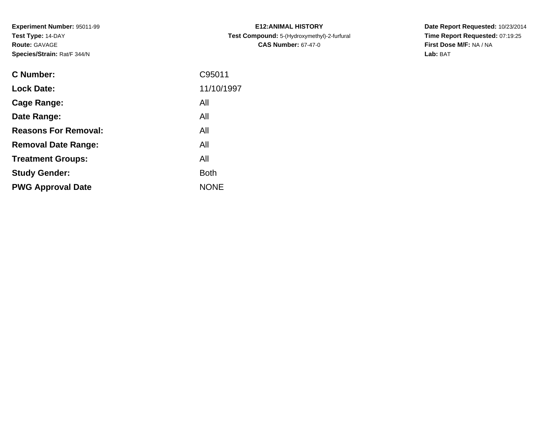**Experiment Number:** 95011-99**Test Type:** 14-DAY**Route:** GAVAGE**Species/Strain:** Rat/F 344/N

| <b>C Number:</b>            | C95011      |
|-----------------------------|-------------|
| <b>Lock Date:</b>           | 11/10/1997  |
| <b>Cage Range:</b>          | All         |
| Date Range:                 | All         |
| <b>Reasons For Removal:</b> | All         |
| <b>Removal Date Range:</b>  | All         |
| <b>Treatment Groups:</b>    | All         |
| <b>Study Gender:</b>        | <b>Both</b> |
| <b>PWG Approval Date</b>    | <b>NONE</b> |
|                             |             |

**E12:ANIMAL HISTORY Test Compound:** 5-(Hydroxymethyl)-2-furfural **CAS Number:** 67-47-0

**Date Report Requested:** 10/23/2014 **Time Report Requested:** 07:19:25**First Dose M/F:** NA / NA**Lab:** BAT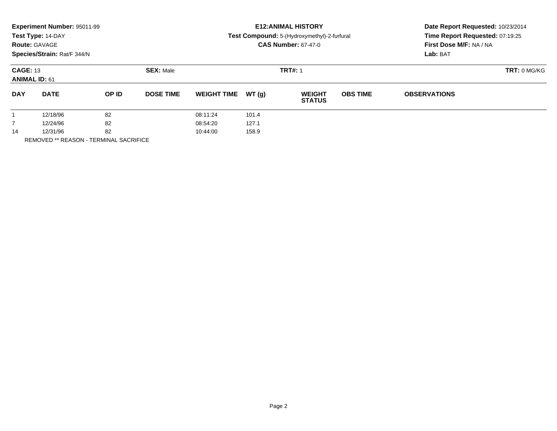|                | <b>Experiment Number: 95011-99</b><br>Test Type: 14-DAY<br><b>Route: GAVAGE</b> |       |                  | <b>E12: ANIMAL HISTORY</b><br>Test Compound: 5-(Hydroxymethyl)-2-furfural<br><b>CAS Number: 67-47-0</b> |       | Date Report Requested: 10/23/2014<br>Time Report Requested: 07:19:25<br>First Dose M/F: NA / NA |                 |                     |  |  |
|----------------|---------------------------------------------------------------------------------|-------|------------------|---------------------------------------------------------------------------------------------------------|-------|-------------------------------------------------------------------------------------------------|-----------------|---------------------|--|--|
|                | Species/Strain: Rat/F 344/N                                                     |       |                  |                                                                                                         |       |                                                                                                 |                 | Lab: BAT            |  |  |
|                | <b>CAGE: 13</b><br><b>ANIMAL ID: 61</b>                                         |       | <b>SEX: Male</b> |                                                                                                         |       | <b>TRT#: 1</b>                                                                                  |                 | <b>TRT: 0 MG/KG</b> |  |  |
| <b>DAY</b>     | <b>DATE</b>                                                                     | OP ID | <b>DOSE TIME</b> | <b>WEIGHT TIME</b>                                                                                      | WT(g) | <b>WEIGHT</b><br><b>STATUS</b>                                                                  | <b>OBS TIME</b> | <b>OBSERVATIONS</b> |  |  |
|                | 12/18/96                                                                        | 82    |                  | 08:11:24                                                                                                | 101.4 |                                                                                                 |                 |                     |  |  |
| $\overline{7}$ | 12/24/96                                                                        | 82    |                  | 08:54:20                                                                                                | 127.1 |                                                                                                 |                 |                     |  |  |
| 14             | 12/31/96                                                                        | 82    |                  | 10:44:00                                                                                                | 158.9 |                                                                                                 |                 |                     |  |  |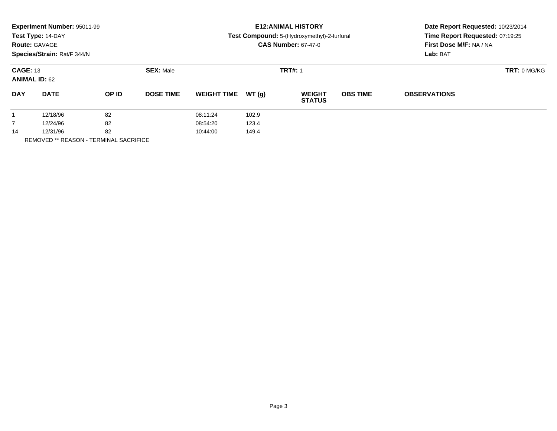|                | Experiment Number: 95011-99<br>Test Type: 14-DAY<br><b>Route: GAVAGE</b><br>Species/Strain: Rat/F 344/N |       |                  |                    |        | <b>E12: ANIMAL HISTORY</b><br>Test Compound: 5-(Hydroxymethyl)-2-furfural<br><b>CAS Number: 67-47-0</b> | Date Report Requested: 10/23/2014<br>Time Report Requested: 07:19:25<br>First Dose M/F: NA / NA<br>Lab: BAT |                     |  |
|----------------|---------------------------------------------------------------------------------------------------------|-------|------------------|--------------------|--------|---------------------------------------------------------------------------------------------------------|-------------------------------------------------------------------------------------------------------------|---------------------|--|
|                | <b>CAGE: 13</b><br><b>ANIMAL ID: 62</b>                                                                 |       | <b>SEX: Male</b> |                    |        | <b>TRT#: 1</b>                                                                                          | <b>TRT: 0 MG/KG</b>                                                                                         |                     |  |
| <b>DAY</b>     | <b>DATE</b>                                                                                             | OP ID | <b>DOSE TIME</b> | <b>WEIGHT TIME</b> | WT (q) | <b>WEIGHT</b><br><b>STATUS</b>                                                                          | <b>OBS TIME</b>                                                                                             | <b>OBSERVATIONS</b> |  |
|                | 12/18/96                                                                                                | 82    |                  | 08:11:24           | 102.9  |                                                                                                         |                                                                                                             |                     |  |
| $\overline{7}$ | 12/24/96                                                                                                | 82    |                  | 08:54:20           | 123.4  |                                                                                                         |                                                                                                             |                     |  |
| 14             | 12/31/96                                                                                                | 82    |                  | 10:44:00           | 149.4  |                                                                                                         |                                                                                                             |                     |  |
|                |                                                                                                         |       |                  |                    |        |                                                                                                         |                                                                                                             |                     |  |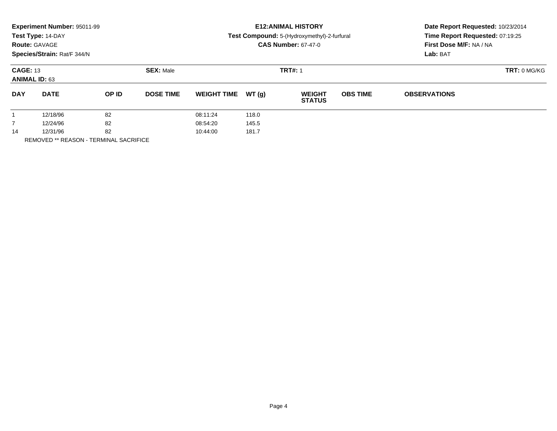|                                         | Experiment Number: 95011-99<br>Test Type: 14-DAY<br><b>Route: GAVAGE</b><br>Species/Strain: Rat/F 344/N |                  |                  |                    |                | <b>E12: ANIMAL HISTORY</b><br>Test Compound: 5-(Hydroxymethyl)-2-furfural<br><b>CAS Number: 67-47-0</b> | Date Report Requested: 10/23/2014<br>Time Report Requested: 07:19:25<br>First Dose M/F: NA / NA<br>Lab: BAT |                     |  |
|-----------------------------------------|---------------------------------------------------------------------------------------------------------|------------------|------------------|--------------------|----------------|---------------------------------------------------------------------------------------------------------|-------------------------------------------------------------------------------------------------------------|---------------------|--|
| <b>CAGE: 13</b><br><b>ANIMAL ID: 63</b> |                                                                                                         | <b>SEX: Male</b> |                  |                    | <b>TRT#: 1</b> | TRT: 0 MG/KG                                                                                            |                                                                                                             |                     |  |
| <b>DAY</b>                              | <b>DATE</b>                                                                                             | OP ID            | <b>DOSE TIME</b> | <b>WEIGHT TIME</b> | WT (a)         | <b>WEIGHT</b><br><b>STATUS</b>                                                                          | <b>OBS TIME</b>                                                                                             | <b>OBSERVATIONS</b> |  |
|                                         | 12/18/96                                                                                                | 82               |                  | 08:11:24           | 118.0          |                                                                                                         |                                                                                                             |                     |  |
| $\overline{7}$                          | 12/24/96                                                                                                | 82               |                  | 08:54:20           | 145.5          |                                                                                                         |                                                                                                             |                     |  |
| 14                                      | 12/31/96                                                                                                | 82               |                  | 10:44:00           | 181.7          |                                                                                                         |                                                                                                             |                     |  |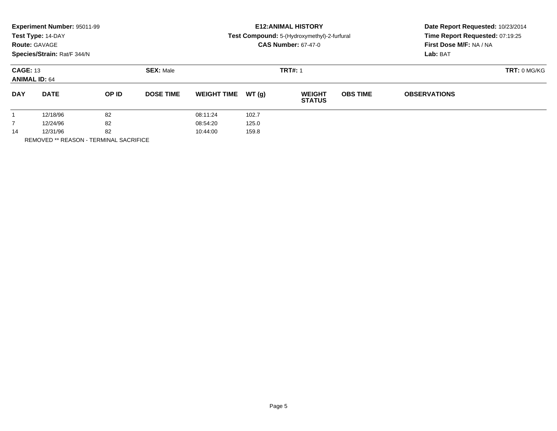|                                         | <b>Experiment Number: 95011-99</b><br>Test Type: 14-DAY<br><b>Route: GAVAGE</b><br>Species/Strain: Rat/F 344/N |       |                  |                    |        | <b>E12: ANIMAL HISTORY</b><br>Test Compound: 5-(Hydroxymethyl)-2-furfural<br><b>CAS Number: 67-47-0</b> | Date Report Requested: 10/23/2014<br>Time Report Requested: 07:19:25<br>First Dose M/F: NA / NA<br>Lab: BAT |                     |  |
|-----------------------------------------|----------------------------------------------------------------------------------------------------------------|-------|------------------|--------------------|--------|---------------------------------------------------------------------------------------------------------|-------------------------------------------------------------------------------------------------------------|---------------------|--|
| <b>CAGE: 13</b><br><b>ANIMAL ID: 64</b> |                                                                                                                |       | <b>SEX: Male</b> |                    |        | <b>TRT#: 1</b>                                                                                          | <b>TRT: 0 MG/KG</b>                                                                                         |                     |  |
| <b>DAY</b>                              | <b>DATE</b>                                                                                                    | OP ID | <b>DOSE TIME</b> | <b>WEIGHT TIME</b> | WT (q) | <b>WEIGHT</b><br><b>STATUS</b>                                                                          | <b>OBS TIME</b>                                                                                             | <b>OBSERVATIONS</b> |  |
|                                         | 12/18/96                                                                                                       | 82    |                  | 08:11:24           | 102.7  |                                                                                                         |                                                                                                             |                     |  |
| $\overline{7}$                          | 12/24/96                                                                                                       | 82    |                  | 08:54:20           | 125.0  |                                                                                                         |                                                                                                             |                     |  |
| 14                                      | 12/31/96                                                                                                       | 82    |                  | 10:44:00           | 159.8  |                                                                                                         |                                                                                                             |                     |  |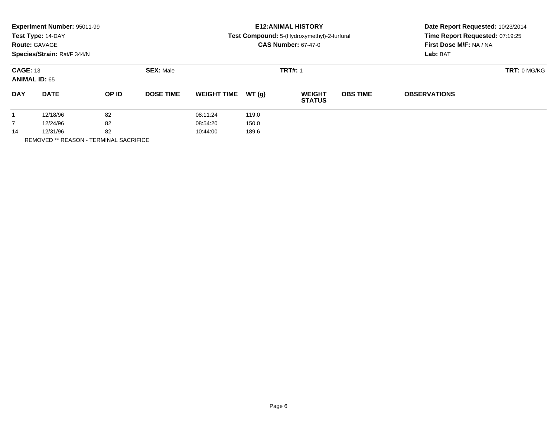|                | <b>Experiment Number: 95011-99</b><br>Test Type: 14-DAY<br><b>Route: GAVAGE</b> |       |                  | <b>E12: ANIMAL HISTORY</b><br>Test Compound: 5-(Hydroxymethyl)-2-furfural<br><b>CAS Number: 67-47-0</b> |       | Date Report Requested: 10/23/2014<br>Time Report Requested: 07:19:25<br>First Dose M/F: NA / NA |                     |                     |  |
|----------------|---------------------------------------------------------------------------------|-------|------------------|---------------------------------------------------------------------------------------------------------|-------|-------------------------------------------------------------------------------------------------|---------------------|---------------------|--|
|                | Species/Strain: Rat/F 344/N                                                     |       |                  |                                                                                                         |       |                                                                                                 | Lab: BAT            |                     |  |
|                | <b>CAGE: 13</b><br><b>ANIMAL ID: 65</b>                                         |       | <b>SEX: Male</b> |                                                                                                         |       | <b>TRT#: 1</b>                                                                                  | <b>TRT: 0 MG/KG</b> |                     |  |
| <b>DAY</b>     | <b>DATE</b>                                                                     | OP ID | <b>DOSE TIME</b> | <b>WEIGHT TIME</b>                                                                                      | WT(g) | <b>WEIGHT</b><br><b>STATUS</b>                                                                  | <b>OBS TIME</b>     | <b>OBSERVATIONS</b> |  |
|                | 12/18/96                                                                        | 82    |                  | 08:11:24                                                                                                | 119.0 |                                                                                                 |                     |                     |  |
| $\overline{7}$ | 12/24/96                                                                        | 82    |                  | 08:54:20                                                                                                | 150.0 |                                                                                                 |                     |                     |  |
| 14             | 12/31/96                                                                        | 82    |                  | 10:44:00                                                                                                | 189.6 |                                                                                                 |                     |                     |  |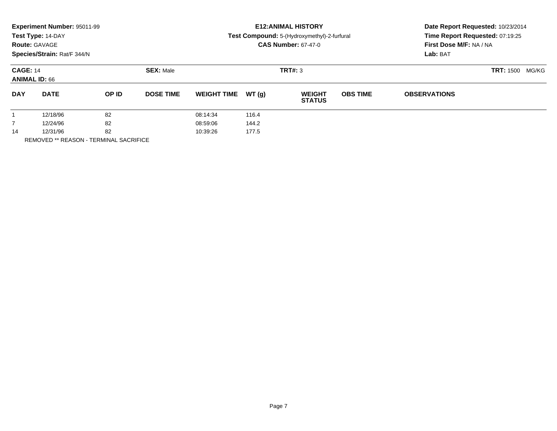|            | Experiment Number: 95011-99<br>Test Type: 14-DAY<br><b>Route: GAVAGE</b><br>Species/Strain: Rat/F 344/N |       |                  |                    |        | <b>E12: ANIMAL HISTORY</b><br>Test Compound: 5-(Hydroxymethyl)-2-furfural<br><b>CAS Number: 67-47-0</b> | Date Report Requested: 10/23/2014<br>Time Report Requested: 07:19:25<br>First Dose M/F: NA / NA<br>Lab: BAT |                     |  |
|------------|---------------------------------------------------------------------------------------------------------|-------|------------------|--------------------|--------|---------------------------------------------------------------------------------------------------------|-------------------------------------------------------------------------------------------------------------|---------------------|--|
|            | <b>CAGE: 14</b><br><b>ANIMAL ID: 66</b>                                                                 |       | <b>SEX: Male</b> |                    |        | TRT#: 3                                                                                                 | <b>TRT: 1500</b><br>MG/KG                                                                                   |                     |  |
| <b>DAY</b> | <b>DATE</b>                                                                                             | OP ID | <b>DOSE TIME</b> | <b>WEIGHT TIME</b> | WT (q) | <b>WEIGHT</b><br><b>STATUS</b>                                                                          | <b>OBS TIME</b>                                                                                             | <b>OBSERVATIONS</b> |  |
|            | 12/18/96                                                                                                | 82    |                  | 08:14:34           | 116.4  |                                                                                                         |                                                                                                             |                     |  |
|            | 12/24/96                                                                                                | 82    |                  | 08:59:06           | 144.2  |                                                                                                         |                                                                                                             |                     |  |
| 14         | 12/31/96                                                                                                | 82    |                  | 10:39:26           | 177.5  |                                                                                                         |                                                                                                             |                     |  |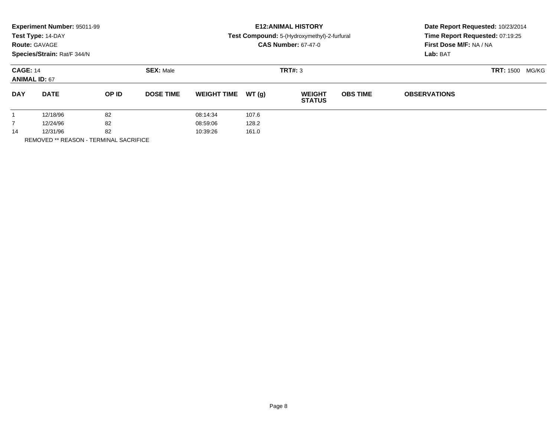|            | Experiment Number: 95011-99<br>Test Type: 14-DAY<br><b>Route: GAVAGE</b><br>Species/Strain: Rat/F 344/N |       |                  |                    |        | <b>E12: ANIMAL HISTORY</b><br>Test Compound: 5-(Hydroxymethyl)-2-furfural<br><b>CAS Number: 67-47-0</b> | Date Report Requested: 10/23/2014<br>Time Report Requested: 07:19:25<br>First Dose M/F: NA / NA<br>Lab: BAT |                     |  |
|------------|---------------------------------------------------------------------------------------------------------|-------|------------------|--------------------|--------|---------------------------------------------------------------------------------------------------------|-------------------------------------------------------------------------------------------------------------|---------------------|--|
|            | <b>CAGE: 14</b><br><b>ANIMAL ID: 67</b>                                                                 |       | <b>SEX: Male</b> |                    |        | TRT#: 3                                                                                                 | <b>TRT: 1500</b><br>MG/KG                                                                                   |                     |  |
| <b>DAY</b> | <b>DATE</b>                                                                                             | OP ID | <b>DOSE TIME</b> | <b>WEIGHT TIME</b> | WT (q) | <b>WEIGHT</b><br><b>STATUS</b>                                                                          | <b>OBS TIME</b>                                                                                             | <b>OBSERVATIONS</b> |  |
|            | 12/18/96                                                                                                | 82    |                  | 08:14:34           | 107.6  |                                                                                                         |                                                                                                             |                     |  |
| 7          | 12/24/96                                                                                                | 82    |                  | 08:59:06           | 128.2  |                                                                                                         |                                                                                                             |                     |  |
| 14         | 12/31/96                                                                                                | 82    |                  | 10:39:26           | 161.0  |                                                                                                         |                                                                                                             |                     |  |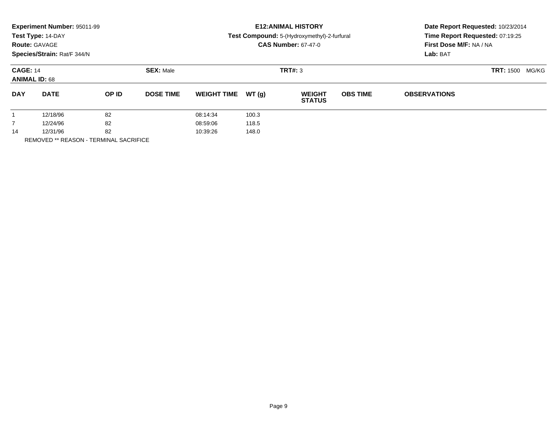|            | Experiment Number: 95011-99<br>Test Type: 14-DAY<br><b>Route: GAVAGE</b><br>Species/Strain: Rat/F 344/N |       |                  |                    |        | <b>E12: ANIMAL HISTORY</b><br>Test Compound: 5-(Hydroxymethyl)-2-furfural<br><b>CAS Number: 67-47-0</b> | Date Report Requested: 10/23/2014<br>Time Report Requested: 07:19:25<br>First Dose M/F: NA / NA<br>Lab: BAT |                     |  |
|------------|---------------------------------------------------------------------------------------------------------|-------|------------------|--------------------|--------|---------------------------------------------------------------------------------------------------------|-------------------------------------------------------------------------------------------------------------|---------------------|--|
|            | <b>CAGE: 14</b><br><b>ANIMAL ID: 68</b>                                                                 |       | <b>SEX: Male</b> |                    |        | TRT#: 3                                                                                                 | <b>TRT: 1500</b><br>MG/KG                                                                                   |                     |  |
| <b>DAY</b> | <b>DATE</b>                                                                                             | OP ID | <b>DOSE TIME</b> | <b>WEIGHT TIME</b> | WT (q) | <b>WEIGHT</b><br><b>STATUS</b>                                                                          | <b>OBS TIME</b>                                                                                             | <b>OBSERVATIONS</b> |  |
|            | 12/18/96                                                                                                | 82    |                  | 08:14:34           | 100.3  |                                                                                                         |                                                                                                             |                     |  |
|            | 12/24/96                                                                                                | 82    |                  | 08:59:06           | 118.5  |                                                                                                         |                                                                                                             |                     |  |
| 14         | 12/31/96                                                                                                | 82    |                  | 10:39:26           | 148.0  |                                                                                                         |                                                                                                             |                     |  |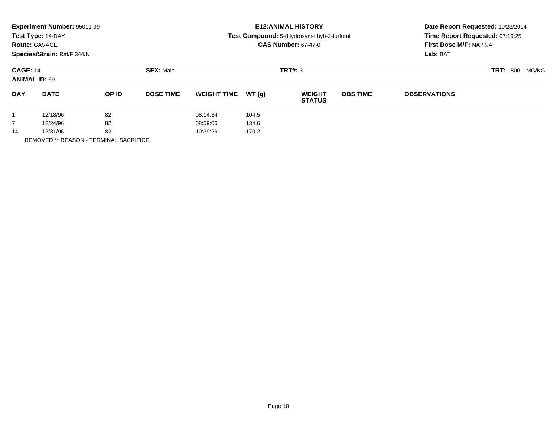|                 | Experiment Number: 95011-99<br>Test Type: 14-DAY<br><b>Route: GAVAGE</b><br>Species/Strain: Rat/F 344/N |                   |                  |                    |       | <b>E12: ANIMAL HISTORY</b><br>Test Compound: 5-(Hydroxymethyl)-2-furfural<br><b>CAS Number: 67-47-0</b> | Date Report Requested: 10/23/2014<br>Time Report Requested: 07:19:25<br>First Dose M/F: NA / NA |                                       |  |
|-----------------|---------------------------------------------------------------------------------------------------------|-------------------|------------------|--------------------|-------|---------------------------------------------------------------------------------------------------------|-------------------------------------------------------------------------------------------------|---------------------------------------|--|
| <b>CAGE: 14</b> | <b>ANIMAL ID: 69</b>                                                                                    |                   | <b>SEX: Male</b> |                    |       | TRT#: 3                                                                                                 |                                                                                                 | Lab: BAT<br><b>TRT: 1500</b><br>MG/KG |  |
| <b>DAY</b>      | <b>DATE</b>                                                                                             | OP ID             | <b>DOSE TIME</b> | <b>WEIGHT TIME</b> | WT(g) | <b>WEIGHT</b><br><b>STATUS</b>                                                                          | <b>OBS TIME</b>                                                                                 | <b>OBSERVATIONS</b>                   |  |
|                 | 12/18/96                                                                                                | 82                |                  | 08:14:34           | 104.5 |                                                                                                         |                                                                                                 |                                       |  |
| $\overline{7}$  | 12/24/96                                                                                                | 82                |                  | 08:59:06           | 134.6 |                                                                                                         |                                                                                                 |                                       |  |
| 14              | 12/31/96                                                                                                | 82                |                  | 10:39:26           | 170.2 |                                                                                                         |                                                                                                 |                                       |  |
|                 |                                                                                                         | _ _ . _ _ . _ _ _ |                  |                    |       |                                                                                                         |                                                                                                 |                                       |  |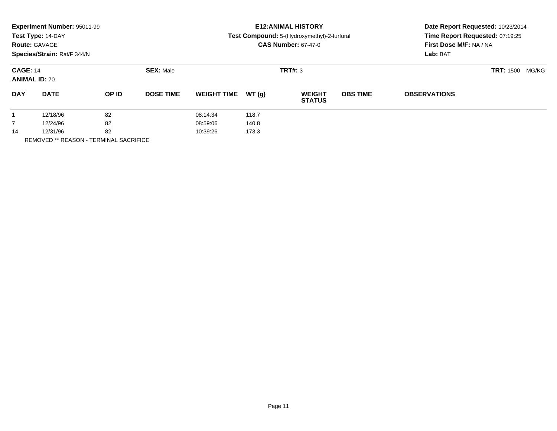| Test Type: 14-DAY<br>Test Compound: 5-(Hydroxymethyl)-2-furfural<br>First Dose M/F: NA / NA<br><b>CAS Number: 67-47-0</b><br><b>Route: GAVAGE</b><br>Species/Strain: Rat/F 344/N | Date Report Requested: 10/23/2014<br>Time Report Requested: 07:19:25<br>Lab: BAT |  |  |
|----------------------------------------------------------------------------------------------------------------------------------------------------------------------------------|----------------------------------------------------------------------------------|--|--|
| TRT#: 3<br><b>SEX: Male</b><br><b>CAGE: 14</b><br><b>TRT: 1500</b><br><b>ANIMAL ID: 70</b>                                                                                       | MG/KG                                                                            |  |  |
| <b>DAY</b><br><b>DATE</b><br>OP ID<br><b>DOSE TIME</b><br>WT(q)<br><b>OBS TIME</b><br><b>WEIGHT TIME</b><br><b>WEIGHT</b><br><b>OBSERVATIONS</b><br><b>STATUS</b>                |                                                                                  |  |  |
| 82<br>12/18/96<br>118.7<br>08:14:34                                                                                                                                              |                                                                                  |  |  |
| 82<br>$\overline{7}$<br>140.8<br>12/24/96<br>08:59:06                                                                                                                            |                                                                                  |  |  |
| 82<br>12/31/96<br>173.3<br>10:39:26<br>14                                                                                                                                        |                                                                                  |  |  |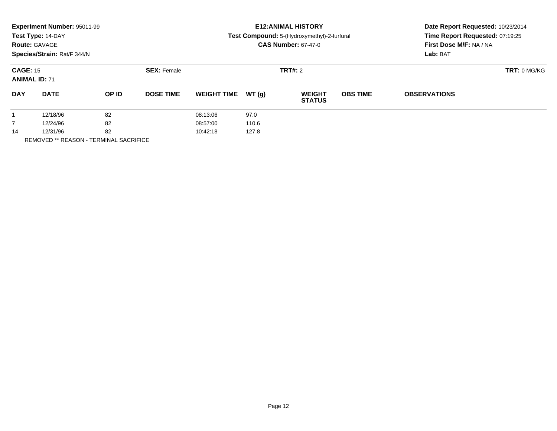|                                         | Experiment Number: 95011-99<br>Test Type: 14-DAY<br><b>Route: GAVAGE</b><br>Species/Strain: Rat/F 344/N |                    |                  |                    |                | <b>E12: ANIMAL HISTORY</b><br>Test Compound: 5-(Hydroxymethyl)-2-furfural<br><b>CAS Number: 67-47-0</b> | Date Report Requested: 10/23/2014<br>Time Report Requested: 07:19:25<br>First Dose M/F: NA / NA<br>Lab: BAT |                     |  |
|-----------------------------------------|---------------------------------------------------------------------------------------------------------|--------------------|------------------|--------------------|----------------|---------------------------------------------------------------------------------------------------------|-------------------------------------------------------------------------------------------------------------|---------------------|--|
| <b>CAGE: 15</b><br><b>ANIMAL ID: 71</b> |                                                                                                         | <b>SEX: Female</b> |                  |                    | <b>TRT#: 2</b> | <b>TRT: 0 MG/KG</b>                                                                                     |                                                                                                             |                     |  |
| <b>DAY</b>                              | <b>DATE</b>                                                                                             | OP ID              | <b>DOSE TIME</b> | <b>WEIGHT TIME</b> | WT (q)         | <b>WEIGHT</b><br><b>STATUS</b>                                                                          | <b>OBS TIME</b>                                                                                             | <b>OBSERVATIONS</b> |  |
|                                         | 12/18/96                                                                                                | 82                 |                  | 08:13:06           | 97.0           |                                                                                                         |                                                                                                             |                     |  |
| $\overline{7}$                          | 12/24/96                                                                                                | 82                 |                  | 08:57:00           | 110.6          |                                                                                                         |                                                                                                             |                     |  |
| 14                                      | 12/31/96                                                                                                | 82                 |                  | 10:42:18           | 127.8          |                                                                                                         |                                                                                                             |                     |  |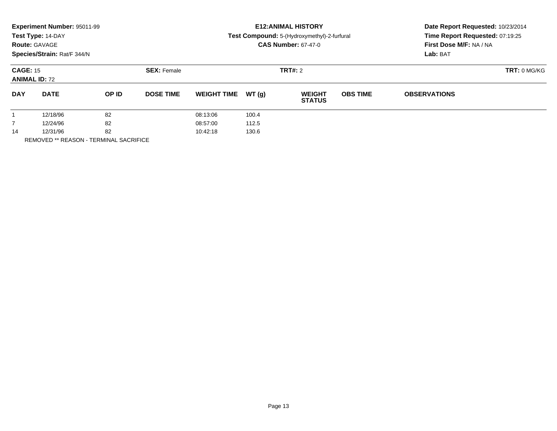| <b>Route: GAVAGE</b>                    | Experiment Number: 95011-99<br>Test Type: 14-DAY<br>Species/Strain: Rat/F 344/N |       |                    |                    |        | <b>E12: ANIMAL HISTORY</b><br>Test Compound: 5-(Hydroxymethyl)-2-furfural<br><b>CAS Number: 67-47-0</b> | Date Report Requested: 10/23/2014<br>Time Report Requested: 07:19:25<br>First Dose M/F: NA / NA<br>Lab: BAT |                     |  |
|-----------------------------------------|---------------------------------------------------------------------------------|-------|--------------------|--------------------|--------|---------------------------------------------------------------------------------------------------------|-------------------------------------------------------------------------------------------------------------|---------------------|--|
| <b>CAGE: 15</b><br><b>ANIMAL ID: 72</b> |                                                                                 |       | <b>SEX: Female</b> |                    |        | <b>TRT#: 2</b>                                                                                          | <b>TRT: 0 MG/KG</b>                                                                                         |                     |  |
| <b>DAY</b>                              | <b>DATE</b>                                                                     | OP ID | <b>DOSE TIME</b>   | <b>WEIGHT TIME</b> | WT (q) | <b>WEIGHT</b><br><b>STATUS</b>                                                                          | <b>OBS TIME</b>                                                                                             | <b>OBSERVATIONS</b> |  |
|                                         | 12/18/96                                                                        | 82    |                    | 08:13:06           | 100.4  |                                                                                                         |                                                                                                             |                     |  |
|                                         | 12/24/96                                                                        | 82    |                    | 08:57:00           | 112.5  |                                                                                                         |                                                                                                             |                     |  |
| 14                                      | 12/31/96                                                                        | 82    |                    | 10:42:18           | 130.6  |                                                                                                         |                                                                                                             |                     |  |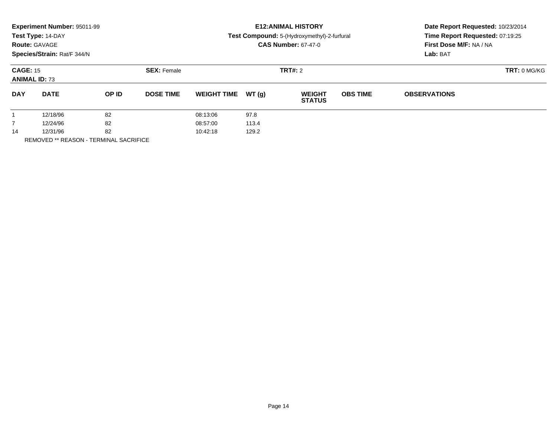|                                         | Experiment Number: 95011-99<br>Test Type: 14-DAY<br><b>Route: GAVAGE</b><br>Species/Strain: Rat/F 344/N |       |                    |                    |        | <b>E12: ANIMAL HISTORY</b><br>Test Compound: 5-(Hydroxymethyl)-2-furfural<br><b>CAS Number: 67-47-0</b> | Date Report Requested: 10/23/2014<br>Time Report Requested: 07:19:25<br>First Dose M/F: NA / NA<br>Lab: BAT |                     |  |
|-----------------------------------------|---------------------------------------------------------------------------------------------------------|-------|--------------------|--------------------|--------|---------------------------------------------------------------------------------------------------------|-------------------------------------------------------------------------------------------------------------|---------------------|--|
| <b>CAGE: 15</b><br><b>ANIMAL ID: 73</b> |                                                                                                         |       | <b>SEX: Female</b> |                    |        | <b>TRT#: 2</b>                                                                                          | <b>TRT: 0 MG/KG</b>                                                                                         |                     |  |
| <b>DAY</b>                              | <b>DATE</b>                                                                                             | OP ID | <b>DOSE TIME</b>   | <b>WEIGHT TIME</b> | WT (q) | <b>WEIGHT</b><br><b>STATUS</b>                                                                          | <b>OBS TIME</b>                                                                                             | <b>OBSERVATIONS</b> |  |
|                                         | 12/18/96                                                                                                | 82    |                    | 08:13:06           | 97.8   |                                                                                                         |                                                                                                             |                     |  |
|                                         | 12/24/96                                                                                                | 82    |                    | 08:57:00           | 113.4  |                                                                                                         |                                                                                                             |                     |  |
| 14                                      | 12/31/96                                                                                                | 82    |                    | 10:42:18           | 129.2  |                                                                                                         |                                                                                                             |                     |  |
|                                         |                                                                                                         |       |                    |                    |        |                                                                                                         |                                                                                                             |                     |  |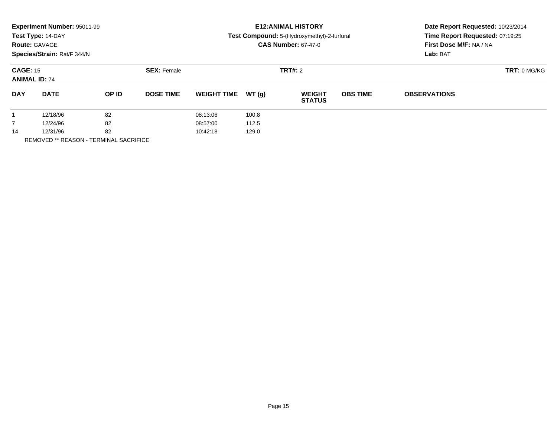|                                         | Experiment Number: 95011-99<br>Test Type: 14-DAY<br><b>Route: GAVAGE</b><br>Species/Strain: Rat/F 344/N |       |                    |                    |        | <b>E12: ANIMAL HISTORY</b><br>Test Compound: 5-(Hydroxymethyl)-2-furfural<br><b>CAS Number: 67-47-0</b> | Date Report Requested: 10/23/2014<br>Time Report Requested: 07:19:25<br>First Dose M/F: NA / NA<br>Lab: BAT |                     |  |
|-----------------------------------------|---------------------------------------------------------------------------------------------------------|-------|--------------------|--------------------|--------|---------------------------------------------------------------------------------------------------------|-------------------------------------------------------------------------------------------------------------|---------------------|--|
| <b>CAGE: 15</b><br><b>ANIMAL ID: 74</b> |                                                                                                         |       | <b>SEX: Female</b> |                    |        | <b>TRT#: 2</b>                                                                                          | <b>TRT: 0 MG/KG</b>                                                                                         |                     |  |
| <b>DAY</b>                              | <b>DATE</b>                                                                                             | OP ID | <b>DOSE TIME</b>   | <b>WEIGHT TIME</b> | WT (q) | <b>WEIGHT</b><br><b>STATUS</b>                                                                          | <b>OBS TIME</b>                                                                                             | <b>OBSERVATIONS</b> |  |
|                                         | 12/18/96                                                                                                | 82    |                    | 08:13:06           | 100.8  |                                                                                                         |                                                                                                             |                     |  |
| $\overline{7}$                          | 12/24/96                                                                                                | 82    |                    | 08:57:00           | 112.5  |                                                                                                         |                                                                                                             |                     |  |
| 14                                      | 12/31/96                                                                                                | 82    |                    | 10:42:18           | 129.0  |                                                                                                         |                                                                                                             |                     |  |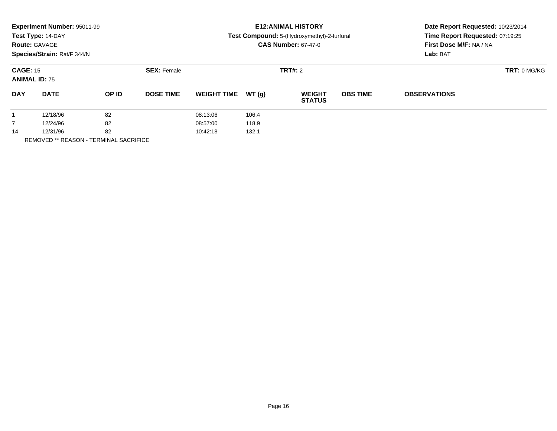|                                         | Experiment Number: 95011-99<br>Test Type: 14-DAY<br><b>Route: GAVAGE</b><br>Species/Strain: Rat/F 344/N |       |                    |                    |        | <b>E12: ANIMAL HISTORY</b><br>Test Compound: 5-(Hydroxymethyl)-2-furfural<br><b>CAS Number: 67-47-0</b> | Date Report Requested: 10/23/2014<br>Time Report Requested: 07:19:25<br>First Dose M/F: NA / NA<br>Lab: BAT |                     |  |
|-----------------------------------------|---------------------------------------------------------------------------------------------------------|-------|--------------------|--------------------|--------|---------------------------------------------------------------------------------------------------------|-------------------------------------------------------------------------------------------------------------|---------------------|--|
| <b>CAGE: 15</b><br><b>ANIMAL ID: 75</b> |                                                                                                         |       | <b>SEX: Female</b> |                    |        | <b>TRT#: 2</b>                                                                                          | <b>TRT: 0 MG/KG</b>                                                                                         |                     |  |
| <b>DAY</b>                              | <b>DATE</b>                                                                                             | OP ID | <b>DOSE TIME</b>   | <b>WEIGHT TIME</b> | WT (q) | <b>WEIGHT</b><br><b>STATUS</b>                                                                          | <b>OBS TIME</b>                                                                                             | <b>OBSERVATIONS</b> |  |
|                                         | 12/18/96                                                                                                | 82    |                    | 08:13:06           | 106.4  |                                                                                                         |                                                                                                             |                     |  |
| $\overline{7}$                          | 12/24/96                                                                                                | 82    |                    | 08:57:00           | 118.9  |                                                                                                         |                                                                                                             |                     |  |
| 14                                      | 12/31/96                                                                                                | 82    |                    | 10:42:18           | 132.1  |                                                                                                         |                                                                                                             |                     |  |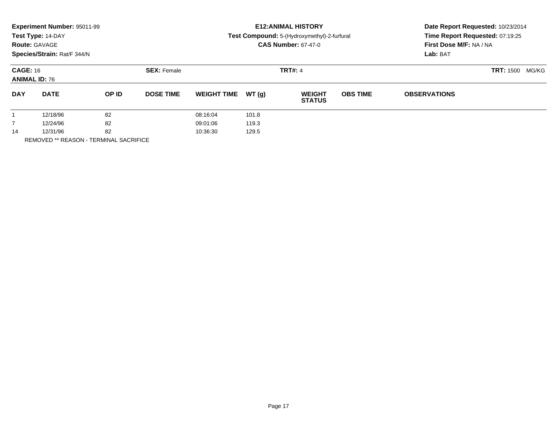| <b>Route: GAVAGE</b>                    | <b>Experiment Number: 95011-99</b><br>Test Type: 14-DAY<br>Species/Strain: Rat/F 344/N |       |                    |                    |        | <b>E12: ANIMAL HISTORY</b><br>Test Compound: 5-(Hydroxymethyl)-2-furfural<br><b>CAS Number: 67-47-0</b> | Date Report Requested: 10/23/2014<br>Time Report Requested: 07:19:25<br>First Dose M/F: NA / NA<br>Lab: BAT |                     |  |
|-----------------------------------------|----------------------------------------------------------------------------------------|-------|--------------------|--------------------|--------|---------------------------------------------------------------------------------------------------------|-------------------------------------------------------------------------------------------------------------|---------------------|--|
| <b>CAGE: 16</b><br><b>ANIMAL ID: 76</b> |                                                                                        |       | <b>SEX: Female</b> |                    |        | <b>TRT#: 4</b>                                                                                          | <b>TRT:</b> 1500<br>MG/KG                                                                                   |                     |  |
| <b>DAY</b>                              | <b>DATE</b>                                                                            | OP ID | <b>DOSE TIME</b>   | <b>WEIGHT TIME</b> | WT (q) | <b>WEIGHT</b><br><b>STATUS</b>                                                                          | <b>OBS TIME</b>                                                                                             | <b>OBSERVATIONS</b> |  |
|                                         | 12/18/96                                                                               | 82    |                    | 08:16:04           | 101.8  |                                                                                                         |                                                                                                             |                     |  |
|                                         | 12/24/96                                                                               | 82    |                    | 09:01:06           | 119.3  |                                                                                                         |                                                                                                             |                     |  |
| 14                                      | 12/31/96                                                                               | 82    |                    | 10:36:30           | 129.5  |                                                                                                         |                                                                                                             |                     |  |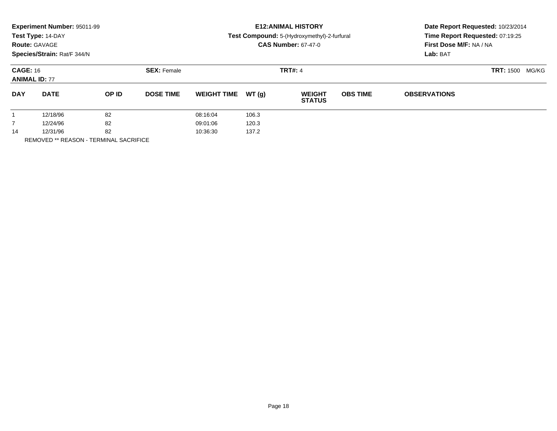|                                         | <b>Experiment Number: 95011-99</b><br>Test Type: 14-DAY<br><b>Route: GAVAGE</b><br>Species/Strain: Rat/F 344/N |       |                    | <b>E12:ANIMAL HISTORY</b><br>Test Compound: 5-(Hydroxymethyl)-2-furfural<br><b>CAS Number: 67-47-0</b> |       |                                |                           | Date Report Requested: 10/23/2014<br>Time Report Requested: 07:19:25<br>First Dose M/F: NA / NA<br>Lab: BAT |  |
|-----------------------------------------|----------------------------------------------------------------------------------------------------------------|-------|--------------------|--------------------------------------------------------------------------------------------------------|-------|--------------------------------|---------------------------|-------------------------------------------------------------------------------------------------------------|--|
| <b>CAGE: 16</b><br><b>ANIMAL ID: 77</b> |                                                                                                                |       | <b>SEX: Female</b> |                                                                                                        |       | <b>TRT#: 4</b>                 | <b>TRT: 1500</b><br>MG/KG |                                                                                                             |  |
| <b>DAY</b>                              | <b>DATE</b>                                                                                                    | OP ID | <b>DOSE TIME</b>   | <b>WEIGHT TIME</b>                                                                                     | WT(g) | <b>WEIGHT</b><br><b>STATUS</b> | <b>OBS TIME</b>           | <b>OBSERVATIONS</b>                                                                                         |  |
|                                         | 12/18/96                                                                                                       | 82    |                    | 08:16:04                                                                                               | 106.3 |                                |                           |                                                                                                             |  |
|                                         | 12/24/96                                                                                                       | 82    |                    | 09:01:06                                                                                               | 120.3 |                                |                           |                                                                                                             |  |
| 14                                      | 12/31/96                                                                                                       | 82    |                    | 10:36:30                                                                                               | 137.2 |                                |                           |                                                                                                             |  |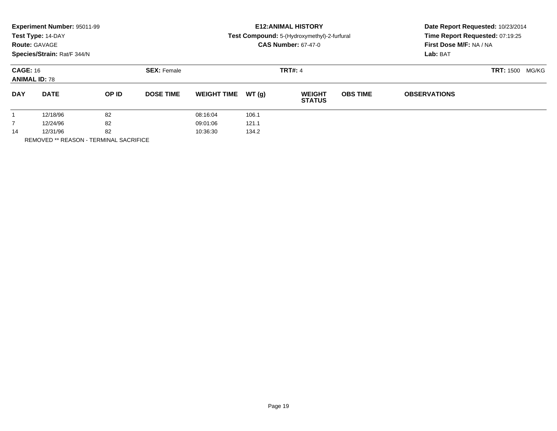|                                         | <b>Experiment Number: 95011-99</b><br>Test Type: 14-DAY<br><b>Route: GAVAGE</b><br>Species/Strain: Rat/F 344/N |       |                    | <b>E12:ANIMAL HISTORY</b><br>Test Compound: 5-(Hydroxymethyl)-2-furfural<br><b>CAS Number: 67-47-0</b> |       |                                |                 | Date Report Requested: 10/23/2014<br>Time Report Requested: 07:19:25<br>First Dose M/F: NA / NA<br>Lab: BAT |  |
|-----------------------------------------|----------------------------------------------------------------------------------------------------------------|-------|--------------------|--------------------------------------------------------------------------------------------------------|-------|--------------------------------|-----------------|-------------------------------------------------------------------------------------------------------------|--|
| <b>CAGE: 16</b><br><b>ANIMAL ID: 78</b> |                                                                                                                |       | <b>SEX: Female</b> |                                                                                                        |       | <b>TRT#: 4</b>                 |                 | <b>TRT: 1500</b><br>MG/KG                                                                                   |  |
| <b>DAY</b>                              | <b>DATE</b>                                                                                                    | OP ID | <b>DOSE TIME</b>   | <b>WEIGHT TIME</b>                                                                                     | WT(g) | <b>WEIGHT</b><br><b>STATUS</b> | <b>OBS TIME</b> | <b>OBSERVATIONS</b>                                                                                         |  |
|                                         | 12/18/96                                                                                                       | 82    |                    | 08:16:04                                                                                               | 106.1 |                                |                 |                                                                                                             |  |
| $\overline{7}$                          | 12/24/96                                                                                                       | 82    |                    | 09:01:06                                                                                               | 121.1 |                                |                 |                                                                                                             |  |
| 14                                      | 12/31/96                                                                                                       | 82    |                    | 10:36:30                                                                                               | 134.2 |                                |                 |                                                                                                             |  |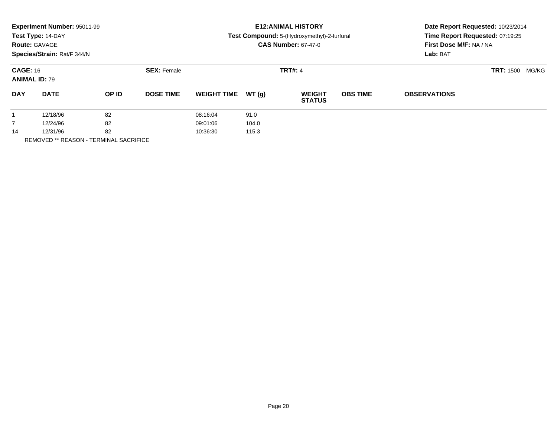|                                         | <b>Experiment Number: 95011-99</b><br>Test Type: 14-DAY<br><b>Route: GAVAGE</b><br>Species/Strain: Rat/F 344/N |       |                    | <b>E12: ANIMAL HISTORY</b><br>Test Compound: 5-(Hydroxymethyl)-2-furfural<br><b>CAS Number: 67-47-0</b> |       |                                |                           | Date Report Requested: 10/23/2014<br>Time Report Requested: 07:19:25<br>First Dose M/F: NA / NA<br>Lab: BAT |  |
|-----------------------------------------|----------------------------------------------------------------------------------------------------------------|-------|--------------------|---------------------------------------------------------------------------------------------------------|-------|--------------------------------|---------------------------|-------------------------------------------------------------------------------------------------------------|--|
| <b>CAGE: 16</b><br><b>ANIMAL ID: 79</b> |                                                                                                                |       | <b>SEX: Female</b> |                                                                                                         |       | <b>TRT#: 4</b>                 | <b>TRT: 1500</b><br>MG/KG |                                                                                                             |  |
| <b>DAY</b>                              | <b>DATE</b>                                                                                                    | OP ID | <b>DOSE TIME</b>   | <b>WEIGHT TIME</b>                                                                                      | WT(g) | <b>WEIGHT</b><br><b>STATUS</b> | <b>OBS TIME</b>           | <b>OBSERVATIONS</b>                                                                                         |  |
|                                         | 12/18/96                                                                                                       | 82    |                    | 08:16:04                                                                                                | 91.0  |                                |                           |                                                                                                             |  |
| $\overline{7}$                          | 12/24/96                                                                                                       | 82    |                    | 09:01:06                                                                                                | 104.0 |                                |                           |                                                                                                             |  |
| 14                                      | 12/31/96                                                                                                       | 82    |                    | 10:36:30                                                                                                | 115.3 |                                |                           |                                                                                                             |  |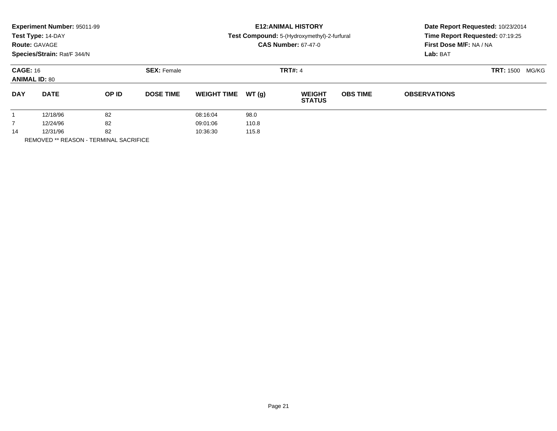| <b>Route: GAVAGE</b>                    | <b>Experiment Number: 95011-99</b><br>Test Type: 14-DAY<br>Species/Strain: Rat/F 344/N |       |                    |                    |        | <b>E12: ANIMAL HISTORY</b><br>Test Compound: 5-(Hydroxymethyl)-2-furfural<br><b>CAS Number: 67-47-0</b> | Date Report Requested: 10/23/2014<br>Time Report Requested: 07:19:25<br>First Dose M/F: NA / NA<br>Lab: BAT |                     |  |
|-----------------------------------------|----------------------------------------------------------------------------------------|-------|--------------------|--------------------|--------|---------------------------------------------------------------------------------------------------------|-------------------------------------------------------------------------------------------------------------|---------------------|--|
| <b>CAGE: 16</b><br><b>ANIMAL ID: 80</b> |                                                                                        |       | <b>SEX: Female</b> |                    |        | <b>TRT#: 4</b>                                                                                          | <b>TRT: 1500</b><br>MG/KG                                                                                   |                     |  |
| <b>DAY</b>                              | <b>DATE</b>                                                                            | OP ID | <b>DOSE TIME</b>   | <b>WEIGHT TIME</b> | WT (q) | <b>WEIGHT</b><br><b>STATUS</b>                                                                          | <b>OBS TIME</b>                                                                                             | <b>OBSERVATIONS</b> |  |
|                                         | 12/18/96                                                                               | 82    |                    | 08:16:04           | 98.0   |                                                                                                         |                                                                                                             |                     |  |
|                                         | 12/24/96                                                                               | 82    |                    | 09:01:06           | 110.8  |                                                                                                         |                                                                                                             |                     |  |
| 14                                      | 12/31/96                                                                               | 82    |                    | 10:36:30           | 115.8  |                                                                                                         |                                                                                                             |                     |  |